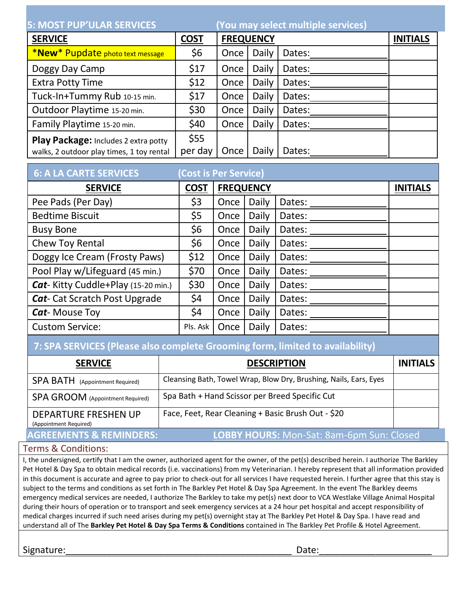| <b>5: MOST PUP'ULAR SERVICES</b>          |             |                  | (You may select multiple services) |                 |  |  |
|-------------------------------------------|-------------|------------------|------------------------------------|-----------------|--|--|
| <b>SERVICE</b>                            | <b>COST</b> | <b>FREQUENCY</b> |                                    | <b>INITIALS</b> |  |  |
| *New* Pupdate photo text message          | \$6         | Once             | Daily                              | Dates:          |  |  |
| Doggy Day Camp                            | \$17        | Once             | Daily                              | Dates:          |  |  |
| <b>Extra Potty Time</b>                   | \$12        | Once             | Daily                              | Dates:          |  |  |
| Tuck-In+Tummy Rub 10-15 min.              | \$17        | Once             | Daily                              | Dates:          |  |  |
| Outdoor Playtime 15-20 min.               | \$30        | Once             | Daily                              | Dates:          |  |  |
| Family Playtime 15-20 min.                | \$40        | Once             | Daily                              | Dates:          |  |  |
| Play Package: Includes 2 extra potty      | \$55        |                  |                                    |                 |  |  |
| walks, 2 outdoor play times, 1 toy rental | per day     | Once             | Daily                              | Dates:          |  |  |

| <b>6: A LA CARTE SERVICES</b>             | <b>Cost is Per Service)</b> |                  |       |                 |  |
|-------------------------------------------|-----------------------------|------------------|-------|-----------------|--|
| <b>SERVICE</b>                            | <b>COST</b>                 | <b>FREQUENCY</b> |       | <b>INITIALS</b> |  |
| Pee Pads (Per Day)                        | \$3                         | Once             | Daily | Dates:          |  |
| <b>Bedtime Biscuit</b>                    | \$5                         | Once             | Daily | Dates:          |  |
| <b>Busy Bone</b>                          | \$6                         | Once             | Daily | Dates:          |  |
| Chew Toy Rental                           | \$6                         | Once             | Daily | Dates:          |  |
| Doggy Ice Cream (Frosty Paws)             | \$12                        | Once             | Daily | Dates:          |  |
| Pool Play w/Lifeguard (45 min.)           | \$70                        | Once             | Daily | Dates:          |  |
| <b>Cat-Kitty Cuddle+Play (15-20 min.)</b> | \$30                        | Once             | Daily | Dates:          |  |
| <b>Cat-</b> Cat Scratch Post Upgrade      | \$4                         | Once             | Daily | Dates:          |  |
| <b>Cat-Mouse Toy</b>                      | \$4                         | Once             | Daily | Dates:          |  |
| <b>Custom Service:</b>                    | Pls. Ask                    | Once             | Daily | Dates:          |  |

## **7: SPA SERVICES (Please also complete Grooming form, limited to availability)**

| <b>SERVICE</b>                                        | <b>DESCRIPTION</b>                                                | <b>INITIALS</b> |
|-------------------------------------------------------|-------------------------------------------------------------------|-----------------|
| <b>SPA BATH</b> (Appointment Required)                | Cleansing Bath, Towel Wrap, Blow Dry, Brushing, Nails, Ears, Eyes |                 |
| <b>SPA GROOM</b> (Appointment Required)               | Spa Bath + Hand Scissor per Breed Specific Cut                    |                 |
| <b>DEPARTURE FRESHEN UP</b><br>(Appointment Required) | Face, Feet, Rear Cleaning + Basic Brush Out - \$20                |                 |
| <b>AGREEMENTS &amp; REMINDERS:</b>                    | <b>LOBBY HOURS:</b> Mon-Sat: 8am-6pm Sun: Closed                  |                 |

## Terms & Conditions:

I, the undersigned, certify that I am the owner, authorized agent for the owner, of the pet(s) described herein. I authorize The Barkley Pet Hotel & Day Spa to obtain medical records (i.e. vaccinations) from my Veterinarian. I hereby represent that all information provided in this document is accurate and agree to pay prior to check-out for all services I have requested herein. I further agree that this stay is subject to the terms and conditions as set forth in The Barkley Pet Hotel & Day Spa Agreement. In the event The Barkley deems emergency medical services are needed, I authorize The Barkley to take my pet(s) next door to VCA Westlake Village Animal Hospital during their hours of operation or to transport and seek emergency services at a 24 hour pet hospital and accept responsibility of medical charges incurred if such need arises during my pet(s) overnight stay at The Barkley Pet Hotel & Day Spa. I have read and understand all of The **Barkley Pet Hotel & Day Spa Terms & Conditions** contained in The Barkley Pet Profile & Hotel Agreement.

Signature:\_\_\_\_\_\_\_\_\_\_\_\_\_\_\_\_\_\_\_\_\_\_\_\_\_\_\_\_\_\_\_\_\_\_\_\_\_\_\_\_\_\_\_\_ Date:\_\_\_\_\_\_\_\_\_\_\_\_\_\_\_\_\_\_\_\_\_\_